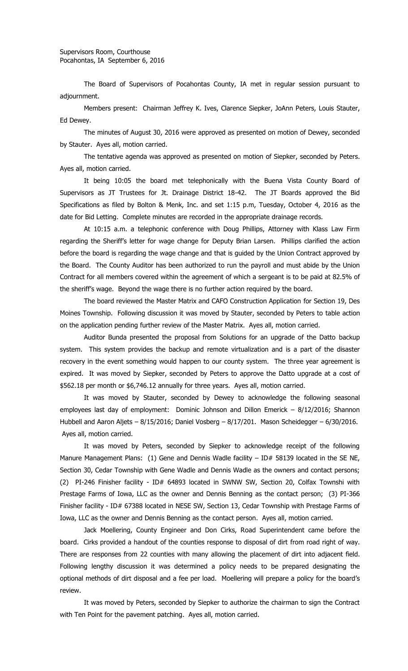The Board of Supervisors of Pocahontas County, IA met in regular session pursuant to adjournment.

Members present: Chairman Jeffrey K. Ives, Clarence Siepker, JoAnn Peters, Louis Stauter, Ed Dewey.

The minutes of August 30, 2016 were approved as presented on motion of Dewey, seconded by Stauter. Ayes all, motion carried.

The tentative agenda was approved as presented on motion of Siepker, seconded by Peters. Ayes all, motion carried.

It being 10:05 the board met telephonically with the Buena Vista County Board of Supervisors as JT Trustees for Jt. Drainage District 18-42. The JT Boards approved the Bid Specifications as filed by Bolton & Menk, Inc. and set 1:15 p.m, Tuesday, October 4, 2016 as the date for Bid Letting. Complete minutes are recorded in the appropriate drainage records.

At 10:15 a.m. a telephonic conference with Doug Phillips, Attorney with Klass Law Firm regarding the Sheriff's letter for wage change for Deputy Brian Larsen. Phillips clarified the action before the board is regarding the wage change and that is guided by the Union Contract approved by the Board. The County Auditor has been authorized to run the payroll and must abide by the Union Contract for all members covered within the agreement of which a sergeant is to be paid at 82.5% of the sheriff's wage. Beyond the wage there is no further action required by the board.

The board reviewed the Master Matrix and CAFO Construction Application for Section 19, Des Moines Township. Following discussion it was moved by Stauter, seconded by Peters to table action on the application pending further review of the Master Matrix. Ayes all, motion carried.

Auditor Bunda presented the proposal from Solutions for an upgrade of the Datto backup system. This system provides the backup and remote virtualization and is a part of the disaster recovery in the event something would happen to our county system. The three year agreement is expired. It was moved by Siepker, seconded by Peters to approve the Datto upgrade at a cost of \$562.18 per month or \$6,746.12 annually for three years. Ayes all, motion carried.

It was moved by Stauter, seconded by Dewey to acknowledge the following seasonal employees last day of employment: Dominic Johnson and Dillon Emerick – 8/12/2016; Shannon Hubbell and Aaron Aljets – 8/15/2016; Daniel Vosberg – 8/17/201. Mason Scheidegger – 6/30/2016. Ayes all, motion carried.

It was moved by Peters, seconded by Siepker to acknowledge receipt of the following Manure Management Plans: (1) Gene and Dennis Wadle facility  $-$  ID# 58139 located in the SE NE, Section 30, Cedar Township with Gene Wadle and Dennis Wadle as the owners and contact persons; (2) PI-246 Finisher facility - ID# 64893 located in SWNW SW, Section 20, Colfax Townshi with Prestage Farms of Iowa, LLC as the owner and Dennis Benning as the contact person; (3) PI-366 Finisher facility - ID# 67388 located in NESE SW, Section 13, Cedar Township with Prestage Farms of Iowa, LLC as the owner and Dennis Benning as the contact person. Ayes all, motion carried.

Jack Moellering, County Engineer and Don Cirks, Road Superintendent came before the board. Cirks provided a handout of the counties response to disposal of dirt from road right of way. There are responses from 22 counties with many allowing the placement of dirt into adjacent field. Following lengthy discussion it was determined a policy needs to be prepared designating the optional methods of dirt disposal and a fee per load. Moellering will prepare a policy for the board's review.

It was moved by Peters, seconded by Siepker to authorize the chairman to sign the Contract with Ten Point for the pavement patching. Ayes all, motion carried.